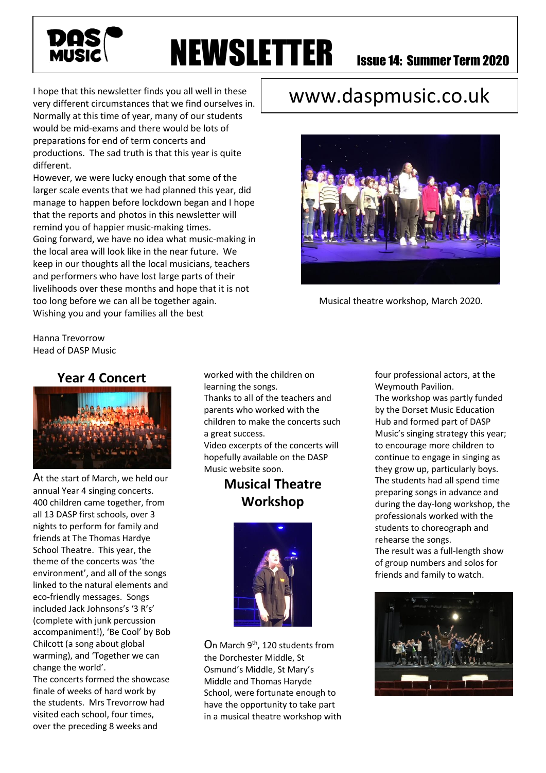

# **NEWSLETTER** Issue 14: Summer Term 2020

I hope that this newsletter finds you all well in these very different circumstances that we find ourselves in. Normally at this time of year, many of our students would be mid-exams and there would be lots of preparations for end of term concerts and productions. The sad truth is that this year is quite different.

However, we were lucky enough that some of the larger scale events that we had planned this year, did manage to happen before lockdown began and I hope that the reports and photos in this newsletter will remind you of happier music-making times. Going forward, we have no idea what music-making in the local area will look like in the near future. We keep in our thoughts all the local musicians, teachers and performers who have lost large parts of their livelihoods over these months and hope that it is not too long before we can all be together again. Wishing you and your families all the best

# www.daspmusic.co.uk



Musical theatre workshop, March 2020.

Hanna Trevorrow Head of DASP Music

### **Year 4 Concert**



At the start of March, we held our annual Year 4 singing concerts. 400 children came together, from all 13 DASP first schools, over 3 nights to perform for family and friends at The Thomas Hardye School Theatre. This year, the theme of the concerts was 'the environment', and all of the songs linked to the natural elements and eco-friendly messages. Songs included Jack Johnsons's '3 R's' (complete with junk percussion accompaniment!), 'Be Cool' by Bob Chilcott (a song about global warming), and 'Together we can change the world'.

The concerts formed the showcase finale of weeks of hard work by the students. Mrs Trevorrow had visited each school, four times, over the preceding 8 weeks and

worked with the children on learning the songs. Thanks to all of the teachers and

parents who worked with the children to make the concerts such a great success.

Video excerpts of the concerts will hopefully available on the DASP Music website soon.

# **Musical Theatre Workshop**



On March 9th, 120 students from the Dorchester Middle, St Osmund's Middle, St Mary's Middle and Thomas Haryde School, were fortunate enough to have the opportunity to take part in a musical theatre workshop with four professional actors, at the Weymouth Pavilion.

The workshop was partly funded by the Dorset Music Education Hub and formed part of DASP Music's singing strategy this year; to encourage more children to continue to engage in singing as they grow up, particularly boys. The students had all spend time preparing songs in advance and during the day-long workshop, the professionals worked with the students to choreograph and rehearse the songs.

The result was a full-length show of group numbers and solos for friends and family to watch.

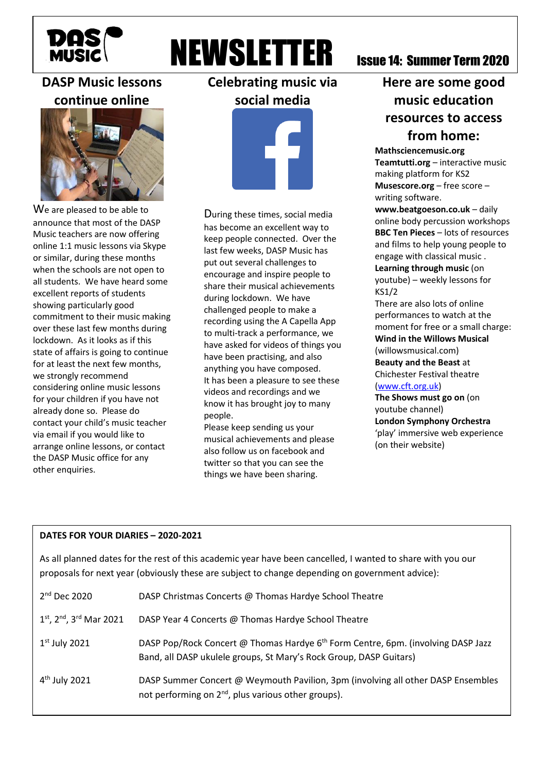

# **NEWSLETTER** Issue 14: Summer Term 2020

## **DASP Music lessons continue online**



We are pleased to be able to announce that most of the DASP Music teachers are now offering online 1:1 music lessons via Skype or similar, during these months when the schools are not open to all students. We have heard some excellent reports of students showing particularly good commitment to their music making over these last few months during lockdown. As it looks as if this state of affairs is going to continue for at least the next few months, we strongly recommend considering online music lessons for your children if you have not already done so. Please do contact your child's music teacher via email if you would like to arrange online lessons, or contact the DASP Music office for any other enquiries.

**Celebrating music via social media**



During these times, social media has become an excellent way to keep people connected. Over the last few weeks, DASP Music has put out several challenges to encourage and inspire people to share their musical achievements during lockdown. We have challenged people to make a recording using the A Capella App to multi-track a performance, we have asked for videos of things you have been practising, and also anything you have composed. It has been a pleasure to see these videos and recordings and we know it has brought joy to many people.

Please keep sending us your musical achievements and please also follow us on facebook and twitter so that you can see the things we have been sharing.

# **Here are some good music education resources to access from home:**

**Mathsciencemusic.org Teamtutti.org** – interactive music making platform for KS2 **Musescore.org** – free score –

writing software. **www.beatgoeson.co.uk** – daily online body percussion workshops **BBC Ten Pieces** – lots of resources and films to help young people to engage with classical music . **Learning through music** (on

youtube) – weekly lessons for KS1/2

There are also lots of online performances to watch at the moment for free or a small charge: **Wind in the Willows Musical** (willowsmusical.com) **Beauty and the Beast** at Chichester Festival theatre [\(www.cft.org.uk\)](http://www.cft.org.uk/)

**The Shows must go on** (on youtube channel) **London Symphony Orchestra** 'play' immersive web experience (on their website)

#### **DATES FOR YOUR DIARIES – 2020-2021**

As all planned dates for the rest of this academic year have been cancelled, I wanted to share with you our proposals for next year (obviously these are subject to change depending on government advice):

| $2nd$ Dec 2020                                        | DASP Christmas Concerts @ Thomas Hardye School Theatre                                                                                                             |
|-------------------------------------------------------|--------------------------------------------------------------------------------------------------------------------------------------------------------------------|
| $1^{st}$ , 2 <sup>nd</sup> , 3 <sup>rd</sup> Mar 2021 | DASP Year 4 Concerts @ Thomas Hardye School Theatre                                                                                                                |
| $1st$ July 2021                                       | DASP Pop/Rock Concert @ Thomas Hardye 6 <sup>th</sup> Form Centre, 6pm. (involving DASP Jazz<br>Band, all DASP ukulele groups, St Mary's Rock Group, DASP Guitars) |
| $4th$ July 2021                                       | DASP Summer Concert @ Weymouth Pavilion, 3pm (involving all other DASP Ensembles<br>not performing on 2 <sup>nd</sup> , plus various other groups).                |